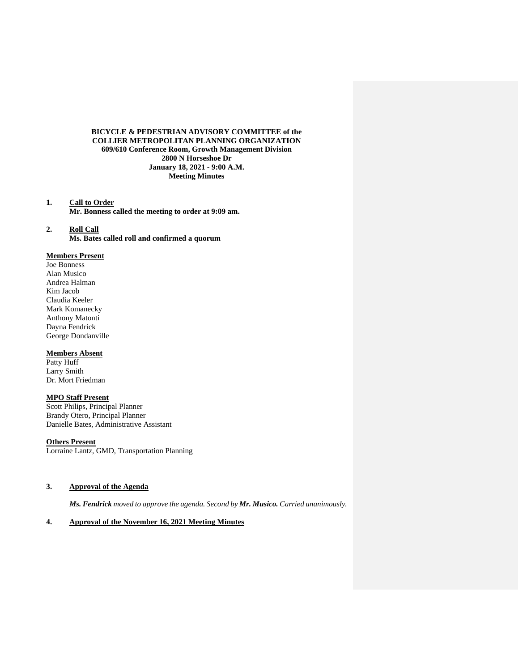# **BICYCLE & PEDESTRIAN ADVISORY COMMITTEE of the COLLIER METROPOLITAN PLANNING ORGANIZATION 609/610 Conference Room, Growth Management Division 2800 N Horseshoe Dr January 18, 2021 - 9:00 A.M. Meeting Minutes**

**1. Call to Order Mr. Bonness called the meeting to order at 9:09 am.**

**2. Roll Call Ms. Bates called roll and confirmed a quorum** 

# **Members Present**

Joe Bonness Alan Musico Andrea Halman Kim Jacob Claudia Keeler Mark Komanecky Anthony Matonti Dayna Fendrick George Dondanville

## **Members Absent**

Patty Huff Larry Smith Dr. Mort Friedman

### **MPO Staff Present**

Scott Philips, Principal Planner Brandy Otero, Principal Planner Danielle Bates, Administrative Assistant

# **Others Present**

Lorraine Lantz, GMD, Transportation Planning

# **3. Approval of the Agenda**

*Ms. Fendrick moved to approve the agenda. Second by Mr. Musico. Carried unanimously.*

# **4. Approval of the November 16, 2021 Meeting Minutes**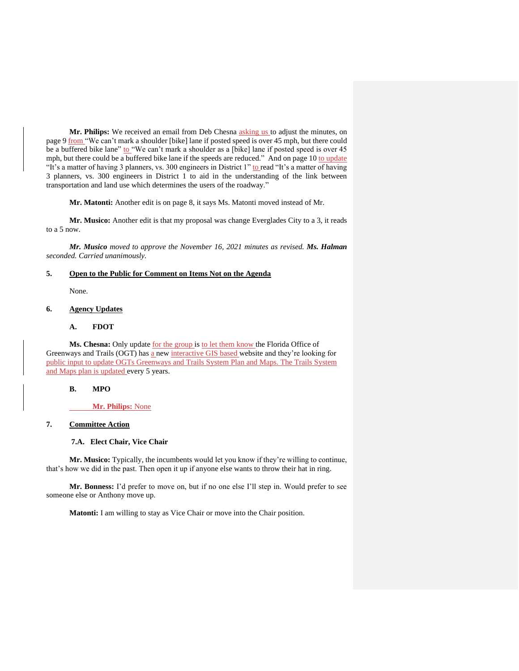**Mr. Philips:** We received an email from Deb Chesna asking us to adjust the minutes, on page 9 from "We can't mark a shoulder [bike] lane if posted speed is over 45 mph, but there could be a buffered bike lane" to "We can't mark a shoulder as a [bike] lane if posted speed is over 45 mph, but there could be a buffered bike lane if the speeds are reduced." And on page 10 to update "It's a matter of having 3 planners, vs. 300 engineers in District 1" to read "It's a matter of having 3 planners, vs. 300 engineers in District 1 to aid in the understanding of the link between transportation and land use which determines the users of the roadway."

**Mr. Matonti:** Another edit is on page 8, it says Ms. Matonti moved instead of Mr.

**Mr. Musico:** Another edit is that my proposal was change Everglades City to a 3, it reads to a 5 now.

*Mr. Musico moved to approve the November 16, 2021 minutes as revised. Ms. Halman seconded. Carried unanimously.*

#### **5. Open to the Public for Comment on Items Not on the Agenda**

None.

## **6. Agency Updates**

# **A. FDOT**

Ms. Chesna: Only update for the group is to let them know the Florida Office of Greenways and Trails (OGT) has a new interactive GIS based website and they're looking for public input to update OGTs Greenways and Trails System Plan and Maps. The Trails System and Maps plan is updated every 5 years.

#### **B. MPO**

**Mr. Philips:** None

# **7. Committee Action**

### **7.A. Elect Chair, Vice Chair**

**Mr. Musico:** Typically, the incumbents would let you know if they're willing to continue, that's how we did in the past. Then open it up if anyone else wants to throw their hat in ring.

**Mr. Bonness:** I'd prefer to move on, but if no one else I'll step in. Would prefer to see someone else or Anthony move up.

**Matonti:** I am willing to stay as Vice Chair or move into the Chair position.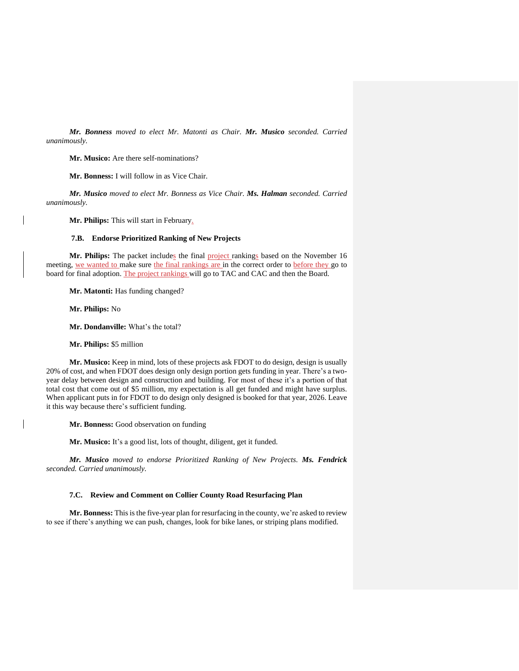*Mr. Bonness moved to elect Mr. Matonti as Chair. Mr. Musico seconded. Carried unanimously.*

**Mr. Musico:** Are there self-nominations?

**Mr. Bonness:** I will follow in as Vice Chair.

*Mr. Musico moved to elect Mr. Bonness as Vice Chair. Ms. Halman seconded. Carried unanimously.*

Mr. Philips: This will start in February.

### **7.B. Endorse Prioritized Ranking of New Projects**

Mr. Philips: The packet includes the final project rankings based on the November 16 meeting, we wanted to make sure the final rankings are in the correct order to before they go to board for final adoption. The project rankings will go to TAC and CAC and then the Board.

**Mr. Matonti:** Has funding changed?

**Mr. Philips:** No

**Mr. Dondanville:** What's the total?

**Mr. Philips:** \$5 million

**Mr. Musico:** Keep in mind, lots of these projects ask FDOT to do design, design is usually 20% of cost, and when FDOT does design only design portion gets funding in year. There's a twoyear delay between design and construction and building. For most of these it's a portion of that total cost that come out of \$5 million, my expectation is all get funded and might have surplus. When applicant puts in for FDOT to do design only designed is booked for that year, 2026. Leave it this way because there's sufficient funding.

**Mr. Bonness:** Good observation on funding

**Mr. Musico:** It's a good list, lots of thought, diligent, get it funded.

*Mr. Musico moved to endorse Prioritized Ranking of New Projects. Ms. Fendrick seconded. Carried unanimously.*

## **7.C. Review and Comment on Collier County Road Resurfacing Plan**

**Mr. Bonness:** This is the five-year plan for resurfacing in the county, we're asked to review to see if there's anything we can push, changes, look for bike lanes, or striping plans modified.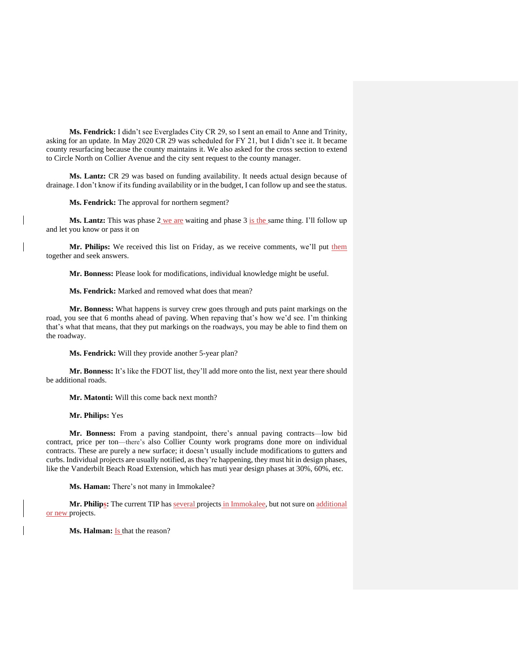**Ms. Fendrick:** I didn't see Everglades City CR 29, so I sent an email to Anne and Trinity, asking for an update. In May 2020 CR 29 was scheduled for FY 21, but I didn't see it. It became county resurfacing because the county maintains it. We also asked for the cross section to extend to Circle North on Collier Avenue and the city sent request to the county manager.

**Ms. Lantz:** CR 29 was based on funding availability. It needs actual design because of drainage. I don't know if its funding availability or in the budget, I can follow up and see the status.

#### **Ms. Fendrick:** The approval for northern segment?

Ms. Lantz: This was phase 2 we are waiting and phase 3 is the same thing. I'll follow up and let you know or pass it on

Mr. Philips: We received this list on Friday, as we receive comments, we'll put them together and seek answers.

**Mr. Bonness:** Please look for modifications, individual knowledge might be useful.

### **Ms. Fendrick:** Marked and removed what does that mean?

**Mr. Bonness:** What happens is survey crew goes through and puts paint markings on the road, you see that 6 months ahead of paving. When repaving that's how we'd see. I'm thinking that's what that means, that they put markings on the roadways, you may be able to find them on the roadway.

**Ms. Fendrick:** Will they provide another 5-year plan?

**Mr. Bonness:** It's like the FDOT list, they'll add more onto the list, next year there should be additional roads.

**Mr. Matonti:** Will this come back next month?

**Mr. Philips:** Yes

**Mr. Bonness:** From a paving standpoint, there's annual paving contracts—low bid contract, price per ton—there's also Collier County work programs done more on individual contracts. These are purely a new surface; it doesn't usually include modifications to gutters and curbs. Individual projects are usually notified, as they're happening, they must hit in design phases, like the Vanderbilt Beach Road Extension, which has muti year design phases at 30%, 60%, etc.

**Ms. Haman:** There's not many in Immokalee?

Mr. Philips: The current TIP has several projects in Immokalee, but not sure on additional or new projects.

**Ms. Halman:** Is that the reason?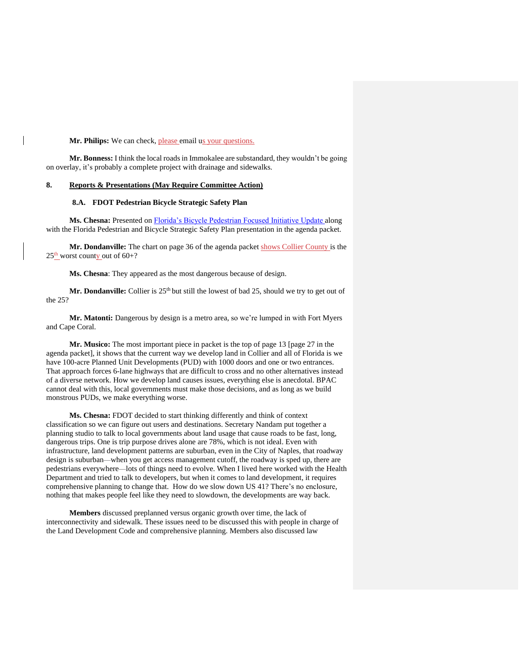#### Mr. Philips: We can check, please email us your questions.

**Mr. Bonness:** I think the local roads in Immokalee are substandard, they wouldn't be going on overlay, it's probably a complete project with drainage and sidewalks.

#### **8. Reports & Presentations (May Require Committee Action)**

#### **8.A. FDOT Pedestrian Bicycle Strategic Safety Plan**

Ms. Chesna: Presented on **[Florida's Bicycle Pedestrian Focused Initiative Update](https://www.colliermpo.org/wp-content/uploads/2022/01/Alert-Today-Florida-Update-18Jan2022.pdf)** along with the Florida Pedestrian and Bicycle Strategic Safety Plan presentation in the agenda packet.

Mr. Dondanville: The chart on page 36 of the agenda packet shows Collier County is the  $25^{\text{th}}$  worst county out of 60+?

**Ms. Chesna**: They appeared as the most dangerous because of design.

Mr. Dondanville: Collier is 25<sup>th</sup> but still the lowest of bad 25, should we try to get out of the 25?

**Mr. Matonti:** Dangerous by design is a metro area, so we're lumped in with Fort Myers and Cape Coral.

**Mr. Musico:** The most important piece in packet is the top of page 13 [page 27 in the agenda packet], it shows that the current way we develop land in Collier and all of Florida is we have 100-acre Planned Unit Developments (PUD) with 1000 doors and one or two entrances. That approach forces 6-lane highways that are difficult to cross and no other alternatives instead of a diverse network. How we develop land causes issues, everything else is anecdotal. BPAC cannot deal with this, local governments must make those decisions, and as long as we build monstrous PUDs, we make everything worse.

**Ms. Chesna:** FDOT decided to start thinking differently and think of context classification so we can figure out users and destinations. Secretary Nandam put together a planning studio to talk to local governments about land usage that cause roads to be fast, long, dangerous trips. One is trip purpose drives alone are 78%, which is not ideal. Even with infrastructure, land development patterns are suburban, even in the City of Naples, that roadway design is suburban—when you get access management cutoff, the roadway is sped up, there are pedestrians everywhere—lots of things need to evolve. When I lived here worked with the Health Department and tried to talk to developers, but when it comes to land development, it requires comprehensive planning to change that. How do we slow down US 41? There's no enclosure, nothing that makes people feel like they need to slowdown, the developments are way back.

**Members** discussed preplanned versus organic growth over time, the lack of interconnectivity and sidewalk. These issues need to be discussed this with people in charge of the Land Development Code and comprehensive planning. Members also discussed law